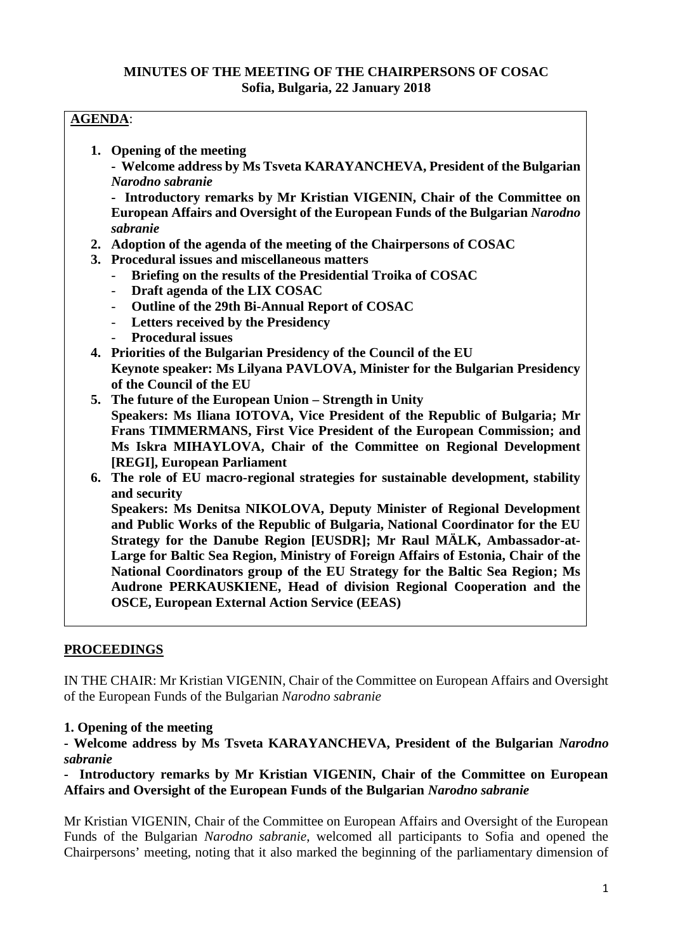## **MINUTES OF THE MEETING OF THE CHAIRPERSONS OF COSAC Sofia, Bulgaria, 22 January 2018**

# **AGENDA**:

- **1. Opening of the meeting**
	- **- Welcome address by Ms Tsveta KARAYANCHEVA, President of the Bulgarian** *Narodno sabranie*

**- Introductory remarks by Mr Kristian VIGENIN, Chair of the Committee on European Affairs and Oversight of the European Funds of the Bulgarian** *Narodno sabranie*

- **2. Adoption of the agenda of the meeting of the Chairpersons of COSAC**
- **3. Procedural issues and miscellaneous matters**
	- **Briefing on the results of the Presidential Troika of COSAC**
	- **Draft agenda of the LIX COSAC**
	- **Outline of the 29th Bi-Annual Report of COSAC**
	- **Letters received by the Presidency**
	- **Procedural issues**
- **4. Priorities of the Bulgarian Presidency of the Council of the EU Keynote speaker: Ms Lilyana PAVLOVA, Minister for the Bulgarian Presidency of the Council of the EU**
- **5. The future of the European Union – Strength in Unity Speakers: Ms Iliana IOTOVA, Vice President of the Republic of Bulgaria; Mr Frans TIMMERMANS, First Vice President of the European Commission; and Ms Iskra MIHAYLOVA, Chair of the Committee on Regional Development [REGI], European Parliament**
- **6. The role of EU macro-regional strategies for sustainable development, stability and security**

**Speakers: Ms Denitsa NIKOLOVA, Deputy Minister of Regional Development and Public Works of the Republic of Bulgaria, National Coordinator for the EU Strategy for the Danube Region [EUSDR]; Mr Raul MÄLK, Ambassador-at- Large for Baltic Sea Region, Ministry of Foreign Affairs of Estonia, Chair of the National Coordinators group of the EU Strategy for the Baltic Sea Region; Ms Audrone PERKAUSKIENE, Head of division Regional Cooperation and the OSCE, European External Action Service (EEAS)**

## **PROCEEDINGS**

IN THE CHAIR: Mr Kristian VIGENIN, Chair of the Committee on European Affairs and Oversight of the European Funds of the Bulgarian *Narodno sabranie*

#### **1. Opening of the meeting**

**- Welcome address by Ms Tsveta KARAYANCHEVA, President of the Bulgarian** *Narodno sabranie*

**- Introductory remarks by Mr Kristian VIGENIN, Chair of the Committee on European Affairs and Oversight of the European Funds of the Bulgarian** *Narodno sabranie*

Mr Kristian VIGENIN, Chair of the Committee on European Affairs and Oversight of the European Funds of the Bulgarian *Narodno sabranie*, welcomed all participants to Sofia and opened the Chairpersons' meeting, noting that it also marked the beginning of the parliamentary dimension of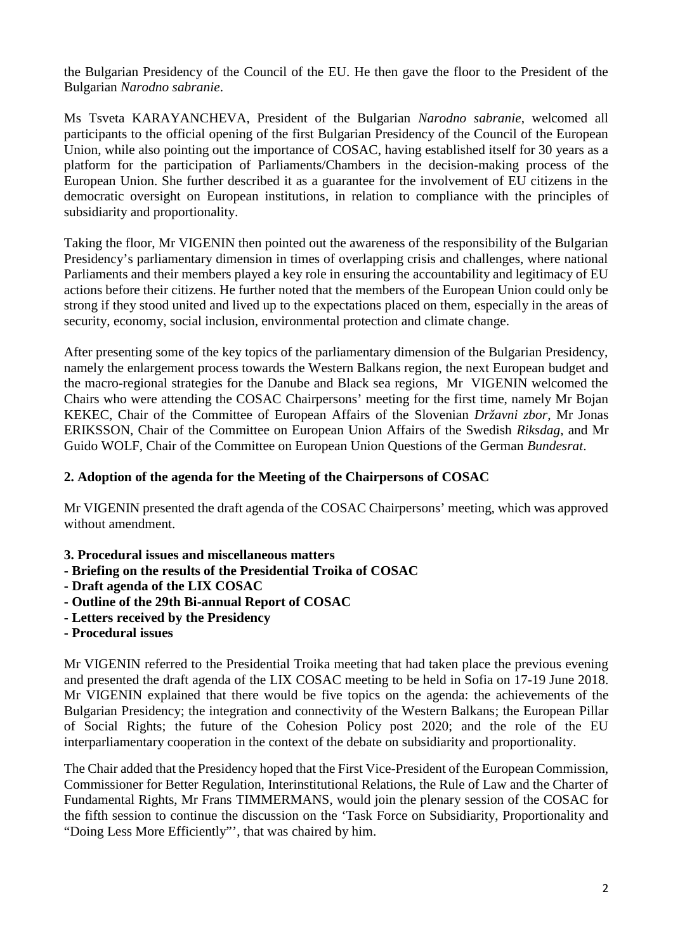the Bulgarian Presidency of the Council of the EU. He then gave the floor to the President of the Bulgarian *Narodno sabranie*.

Ms Tsveta KARAYANCHEVA, President of the Bulgarian *Narodno sabranie*, welcomed all participants to the official opening of the first Bulgarian Presidency of the Council of the European Union, while also pointing out the importance of COSAC, having established itself for 30 years as a platform for the participation of Parliaments/Chambers in the decision-making process of the European Union. She further described it as a guarantee for the involvement of EU citizens in the democratic oversight on European institutions, in relation to compliance with the principles of subsidiarity and proportionality.

Taking the floor, Mr VIGENIN then pointed out the awareness of the responsibility of the Bulgarian Presidency's parliamentary dimension in times of overlapping crisis and challenges, where national Parliaments and their members played a key role in ensuring the accountability and legitimacy of EU actions before their citizens. He further noted that the members of the European Union could only be strong if they stood united and lived up to the expectations placed on them, especially in the areas of security, economy, social inclusion, environmental protection and climate change.

After presenting some of the key topics of the parliamentary dimension of the Bulgarian Presidency, namely the enlargement process towards the Western Balkans region, the next European budget and the macro-regional strategies for the Danube and Black sea regions, Mr VIGENIN welcomed the Chairs who were attending the COSAC Chairpersons' meeting for the first time, namely Mr Bojan KEKEC, Chair of the Committee of European Affairs of the Slovenian *Državni zbor*, Mr Jonas ERIKSSON, Chair of the Committee on European Union Affairs of the Swedish *Riksdag*, and Mr Guido WOLF, Chair of the Committee on European Union Questions of the German *Bundesrat*.

## **2. Adoption of the agenda for the Meeting of the Chairpersons of COSAC**

Mr VIGENIN presented the draft agenda of the COSAC Chairpersons' meeting, which was approved without amendment.

- **3. Procedural issues and miscellaneous matters**
- **- Briefing on the results of the Presidential Troika of COSAC**
- **- Draft agenda of the LIX COSAC**
- **- Outline of the 29th Bi-annual Report of COSAC**
- **- Letters received by the Presidency**
- **- Procedural issues**

Mr VIGENIN referred to the Presidential Troika meeting that had taken place the previous evening and presented the draft agenda of the LIX COSAC meeting to be held in Sofia on 17-19 June 2018. Mr VIGENIN explained that there would be five topics on the agenda: the achievements of the Bulgarian Presidency; the integration and connectivity of the Western Balkans; the European Pillar of Social Rights; the future of the Cohesion Policy post 2020; and the role of the EU interparliamentary cooperation in the context of the debate on subsidiarity and proportionality.

The Chair added that the Presidency hoped that the First Vice-President of the European Commission, Commissioner for Better Regulation, Interinstitutional Relations, the Rule of Law and the Charter of Fundamental Rights, Mr Frans TIMMERMANS, would join the plenary session of the COSAC for the fifth session to continue the discussion on the 'Task Force on Subsidiarity, Proportionality and "Doing Less More Efficiently"', that was chaired by him.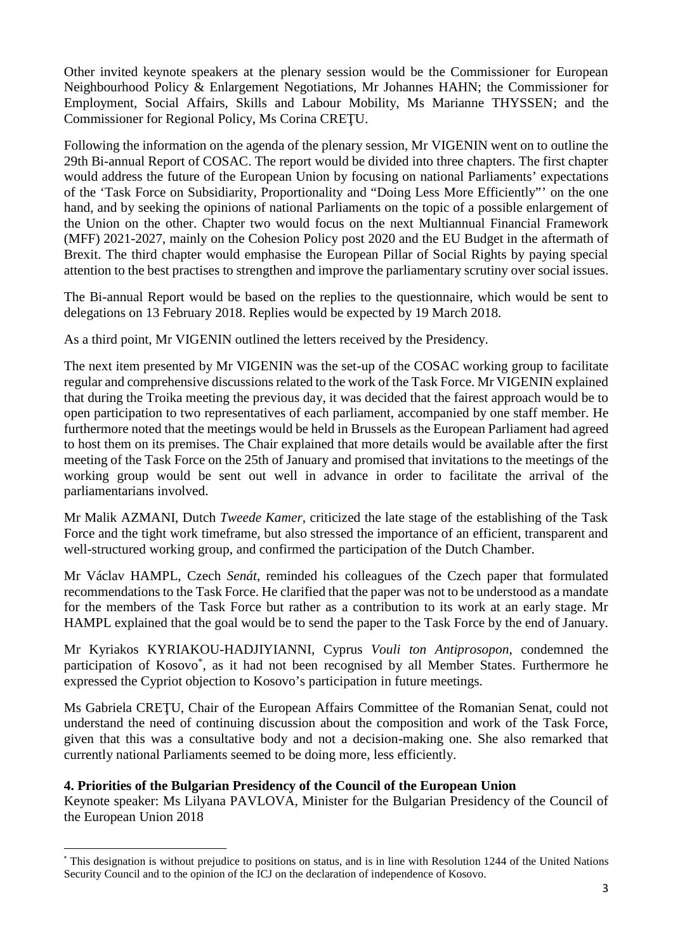Other invited keynote speakers at the plenary session would be the Commissioner for European Neighbourhood Policy & Enlargement Negotiations, Mr Johannes HAHN; the Commissioner for Employment, Social Affairs, Skills and Labour Mobility, Ms Marianne THYSSEN; and the Commissioner for Regional Policy, Ms Corina CRE U.

Following the information on the agenda of the plenary session, Mr VIGENIN went on to outline the 29th Bi-annual Report of COSAC. The report would be divided into three chapters. The first chapter would address the future of the European Union by focusing on national Parliaments' expectations of the 'Task Force on Subsidiarity, Proportionality and "Doing Less More Efficiently"' on the one hand, and by seeking the opinions of national Parliaments on the topic of a possible enlargement of the Union on the other. Chapter two would focus on the next Multiannual Financial Framework (MFF) 2021-2027, mainly on the Cohesion Policy post 2020 and the EU Budget in the aftermath of Brexit. The third chapter would emphasise the European Pillar of Social Rights by paying special attention to the best practises to strengthen and improve the parliamentary scrutiny over social issues.

The Bi-annual Report would be based on the replies to the questionnaire, which would be sent to delegations on 13 February 2018. Replies would be expected by 19 March 2018.

As a third point, Mr VIGENIN outlined the letters received by the Presidency.

The next item presented by Mr VIGENIN was the set-up of the COSAC working group to facilitate regular and comprehensive discussions related to the work of the Task Force. Mr VIGENIN explained that during the Troika meeting the previous day, it was decided that the fairest approach would be to open participation to two representatives of each parliament, accompanied by one staff member. He furthermore noted that the meetings would be held in Brussels as the European Parliament had agreed to host them on its premises. The Chair explained that more details would be available after the first meeting of the Task Force on the 25th of January and promised that invitations to the meetings of the working group would be sent out well in advance in order to facilitate the arrival of the parliamentarians involved.

Mr Malik AZMANI, Dutch *Tweede Kamer*, criticized the late stage of the establishing of the Task Force and the tight work timeframe, but also stressed the importance of an efficient, transparent and well-structured working group, and confirmed the participation of the Dutch Chamber.

Mr Václav HAMPL, Czech *Senát*, reminded his colleagues of the Czech paper that formulated recommendations to the Task Force. He clarified that the paper was not to be understood as a mandate for the members of the Task Force but rather as a contribution to its work at an early stage. Mr HAMPL explained that the goal would be to send the paper to the Task Force by the end of January.

Mr Kyriakos KYRIAKOU-HADJIYIANNI, Cyprus *Vouli ton Antiprosopon*, condemned the participation of Kosovo<sup>\*</sup>, as it had not been recognised by all Member States. Furthermore he expressed the Cypriot objection to Kosovo's participation in future meetings.

Ms Gabriela CRE U, Chair of the European Affairs Committee of the Romanian Senat, could not understand the need of continuing discussion about the composition and work of the Task Force, given that this was a consultative body and not a decision-making one. She also remarked that currently national Parliaments seemed to be doing more, less efficiently.

## **4. Priorities of the Bulgarian Presidency of the Council of the European Union**

Keynote speaker: Ms Lilyana PAVLOVA, Minister for the Bulgarian Presidency of the Council of the European Union 2018

<sup>\*</sup> This designation is without prejudice to positions on status, and is in line with Resolution 1244 of the United Nations Security Council and to the opinion of the ICJ on the declaration of independence of Kosovo.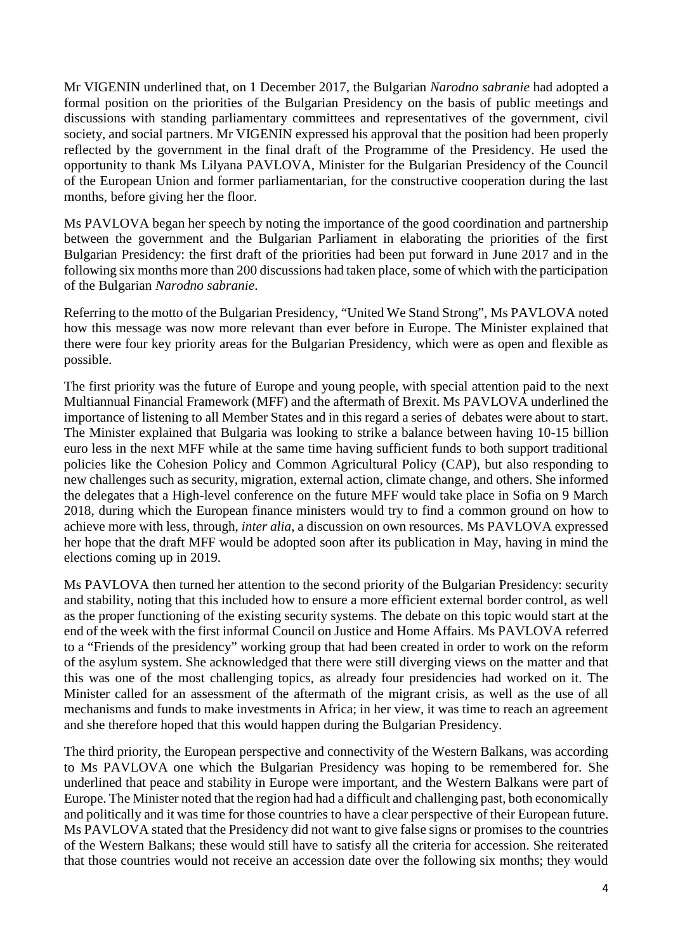Mr VIGENIN underlined that, on 1 December 2017, the Bulgarian *Narodno sabranie* had adopted a formal position on the priorities of the Bulgarian Presidency on the basis of public meetings and discussions with standing parliamentary committees and representatives of the government, civil society, and social partners. Mr VIGENIN expressed his approval that the position had been properly reflected by the government in the final draft of the Programme of the Presidency. He used the opportunity to thank Ms Lilyana PAVLOVA, Minister for the Bulgarian Presidency of the Council of the European Union and former parliamentarian, for the constructive cooperation during the last months, before giving her the floor.

Ms PAVLOVA began her speech by noting the importance of the good coordination and partnership between the government and the Bulgarian Parliament in elaborating the priorities of the first Bulgarian Presidency: the first draft of the priorities had been put forward in June 2017 and in the following six months more than 200 discussions had taken place, some of which with the participation of the Bulgarian *Narodno sabranie*.

Referring to the motto of the Bulgarian Presidency, "United We Stand Strong", Ms PAVLOVA noted how this message was now more relevant than ever before in Europe. The Minister explained that there were four key priority areas for the Bulgarian Presidency, which were as open and flexible as possible.

The first priority was the future of Europe and young people, with special attention paid to the next Multiannual Financial Framework (MFF) and the aftermath of Brexit. Ms PAVLOVA underlined the importance of listening to all Member States and in this regard a series of debates were about to start. The Minister explained that Bulgaria was looking to strike a balance between having 10-15 billion euro less in the next MFF while at the same time having sufficient funds to both support traditional policies like the Cohesion Policy and Common Agricultural Policy (CAP), but also responding to new challenges such as security, migration, external action, climate change, and others. She informed the delegates that a High-level conference on the future MFF would take place in Sofia on 9 March 2018, during which the European finance ministers would try to find a common ground on how to achieve more with less, through, *inter alia*, a discussion on own resources. Ms PAVLOVA expressed her hope that the draft MFF would be adopted soon after its publication in May, having in mind the elections coming up in 2019.

Ms PAVLOVA then turned her attention to the second priority of the Bulgarian Presidency: security and stability, noting that this included how to ensure a more efficient external border control, as well as the proper functioning of the existing security systems. The debate on this topic would start at the end of the week with the first informal Council on Justice and Home Affairs. Ms PAVLOVA referred to a "Friends of the presidency" working group that had been created in order to work on the reform of the asylum system. She acknowledged that there were still diverging views on the matter and that this was one of the most challenging topics, as already four presidencies had worked on it. The Minister called for an assessment of the aftermath of the migrant crisis, as well as the use of all mechanisms and funds to make investments in Africa; in her view, it was time to reach an agreement and she therefore hoped that this would happen during the Bulgarian Presidency.

The third priority, the European perspective and connectivity of the Western Balkans, was according to Ms PAVLOVA one which the Bulgarian Presidency was hoping to be remembered for. She underlined that peace and stability in Europe were important, and the Western Balkans were part of Europe. The Minister noted that the region had had a difficult and challenging past, both economically and politically and it was time for those countries to have a clear perspective of their European future. Ms PAVLOVA stated that the Presidency did not want to give false signs or promises to the countries of the Western Balkans; these would still have to satisfy all the criteria for accession. She reiterated that those countries would not receive an accession date over the following six months; they would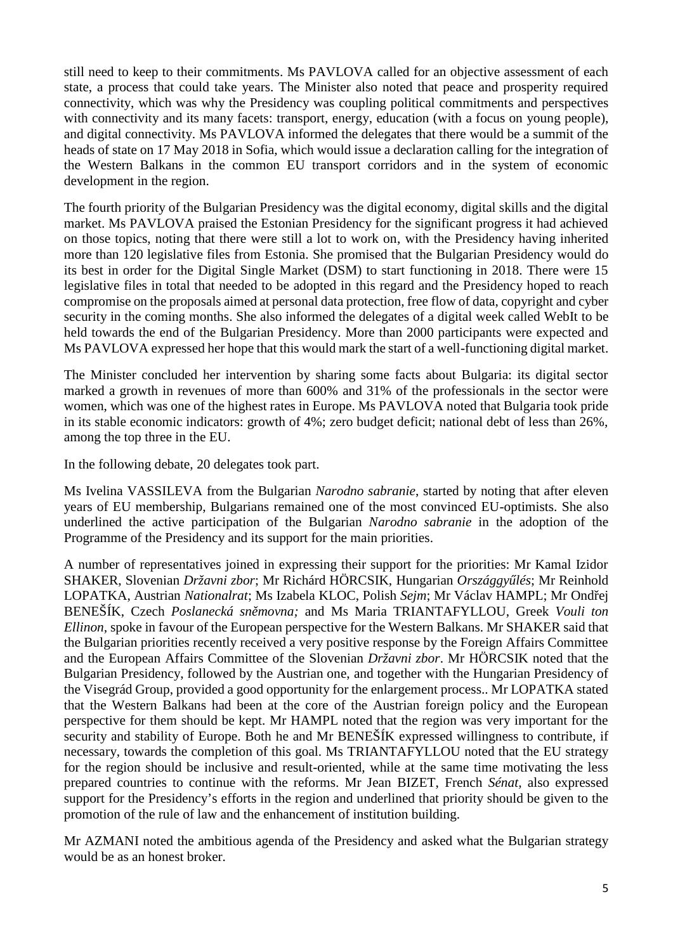still need to keep to their commitments. Ms PAVLOVA called for an objective assessment of each state, a process that could take years. The Minister also noted that peace and prosperity required connectivity, which was why the Presidency was coupling political commitments and perspectives with connectivity and its many facets: transport, energy, education (with a focus on young people), and digital connectivity. Ms PAVLOVA informed the delegates that there would be a summit of the heads of state on 17 May 2018 in Sofia, which would issue a declaration calling for the integration of the Western Balkans in the common EU transport corridors and in the system of economic development in the region.

The fourth priority of the Bulgarian Presidency was the digital economy, digital skills and the digital market. Ms PAVLOVA praised the Estonian Presidency for the significant progress it had achieved on those topics, noting that there were still a lot to work on, with the Presidency having inherited more than 120 legislative files from Estonia. She promised that the Bulgarian Presidency would do its best in order for the Digital Single Market (DSM) to start functioning in 2018. There were 15 legislative files in total that needed to be adopted in this regard and the Presidency hoped to reach compromise on the proposals aimed at personal data protection, free flow of data, copyright and cyber security in the coming months. She also informed the delegates of a digital week called WebIt to be held towards the end of the Bulgarian Presidency. More than 2000 participants were expected and Ms PAVLOVA expressed her hope that this would mark the start of a well-functioning digital market.

The Minister concluded her intervention by sharing some facts about Bulgaria: its digital sector marked a growth in revenues of more than 600% and 31% of the professionals in the sector were women, which was one of the highest rates in Europe. Ms PAVLOVA noted that Bulgaria took pride in its stable economic indicators: growth of 4%; zero budget deficit; national debt of less than 26%, among the top three in the EU.

In the following debate, 20 delegates took part.

Ms Ivelina VASSILEVA from the Bulgarian *Narodno sabranie*, started by noting that after eleven years of EU membership, Bulgarians remained one of the most convinced EU-optimists. She also underlined the active participation of the Bulgarian *Narodno sabranie* in the adoption of the Programme of the Presidency and its support for the main priorities.

A number of representatives joined in expressing their support for the priorities: Mr Kamal Izidor SHAKER, Slovenian *Državni zbor*; Mr Richárd HÖRCSIK, Hungarian *Országgy lés*; Mr Reinhold LOPATKA, Austrian *Nationalrat*; Ms Izabela KLOC, Polish *Sejm*; Mr Václav HAMPL; Mr Ondřej BENEŠÍK, Czech *Poslanecká sněmovna;* and Ms Maria TRIANTAFYLLOU, Greek *Vouli ton Ellinon,* spoke in favour of the European perspective for the Western Balkans. Mr SHAKER said that the Bulgarian priorities recently received a very positive response by the Foreign Affairs Committee and the European Affairs Committee of the Slovenian *Državni zbor*. Mr HÖRCSIK noted that the Bulgarian Presidency, followed by the Austrian one, and together with the Hungarian Presidency of the Visegrád Group, provided a good opportunity for the enlargement process.. Mr LOPATKA stated that the Western Balkans had been at the core of the Austrian foreign policy and the European perspective for them should be kept. Mr HAMPL noted that the region was very important for the security and stability of Europe. Both he and Mr BENEŠÍK expressed willingness to contribute, if necessary, towards the completion of this goal. Ms TRIANTAFYLLOU noted that the EU strategy for the region should be inclusive and result-oriented, while at the same time motivating the less prepared countries to continue with the reforms. Mr Jean BIZET, French *Sénat,* also expressed support for the Presidency's efforts in the region and underlined that priority should be given to the promotion of the rule of law and the enhancement of institution building.

Mr AZMANI noted the ambitious agenda of the Presidency and asked what the Bulgarian strategy would be as an honest broker.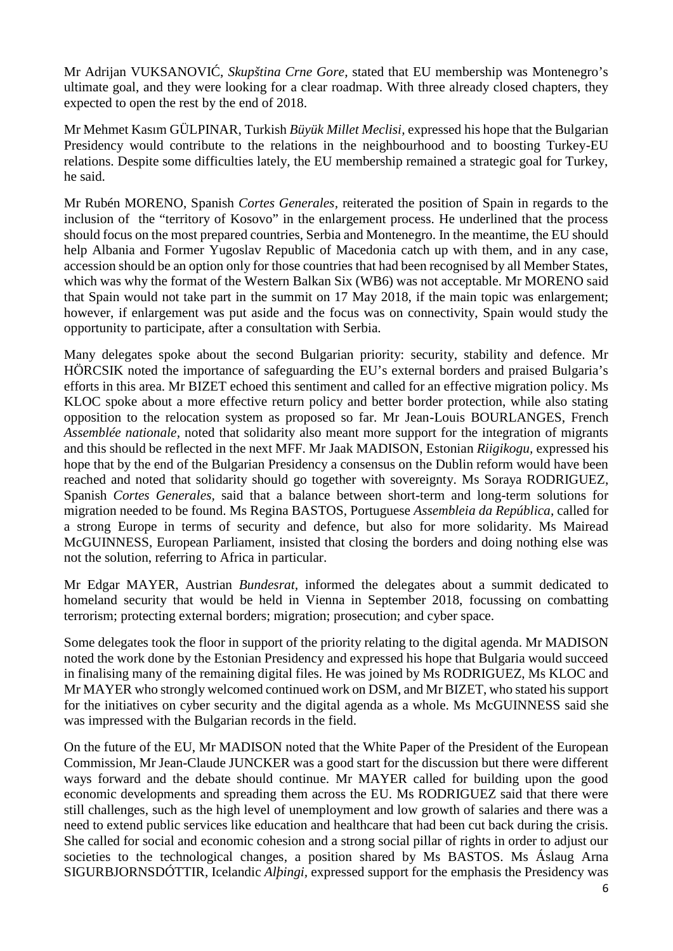Mr Adrijan VUKSANOVI, *Skupština Crne Gore*, stated that EU membership was Montenegro's ultimate goal, and they were looking for a clear roadmap. With three already closed chapters, they expected to open the rest by the end of 2018.

Mr Mehmet Kasım GÜLPINAR, Turkish *Büyük Millet Meclisi,* expressed his hope that the Bulgarian Presidency would contribute to the relations in the neighbourhood and to boosting Turkey-EU relations. Despite some difficulties lately, the EU membership remained a strategic goal for Turkey, he said.

Mr Rubén MORENO, Spanish *Cortes Generales,* reiterated the position of Spain in regards to the inclusion of the "territory of Kosovo" in the enlargement process. He underlined that the process should focus on the most prepared countries, Serbia and Montenegro. In the meantime, the EU should help Albania and Former Yugoslav Republic of Macedonia catch up with them, and in any case, accession should be an option only for those countries that had been recognised by all Member States, which was why the format of the Western Balkan Six (WB6) was not acceptable. Mr MORENO said that Spain would not take part in the summit on 17 May 2018, if the main topic was enlargement; however, if enlargement was put aside and the focus was on connectivity, Spain would study the opportunity to participate, after a consultation with Serbia.

Many delegates spoke about the second Bulgarian priority: security, stability and defence. Mr HÖRCSIK noted the importance of safeguarding the EU's external borders and praised Bulgaria's efforts in this area. Mr BIZET echoed this sentiment and called for an effective migration policy. Ms KLOC spoke about a more effective return policy and better border protection, while also stating opposition to the relocation system as proposed so far. Mr Jean-Louis BOURLANGES, French *Assemblée nationale,* noted that solidarity also meant more support for the integration of migrants and this should be reflected in the next MFF. Mr Jaak MADISON, Estonian *Riigikogu,* expressed his hope that by the end of the Bulgarian Presidency a consensus on the Dublin reform would have been reached and noted that solidarity should go together with sovereignty. Ms Soraya RODRIGUEZ, Spanish *Cortes Generales,* said that a balance between short-term and long-term solutions for migration needed to be found. Ms Regina BASTOS, Portuguese *Assembleia da República,* called for a strong Europe in terms of security and defence, but also for more solidarity. Ms Mairead McGUINNESS, European Parliament, insisted that closing the borders and doing nothing else was not the solution, referring to Africa in particular.

Mr Edgar MAYER, Austrian *Bundesrat,* informed the delegates about a summit dedicated to homeland security that would be held in Vienna in September 2018, focussing on combatting terrorism; protecting external borders; migration; prosecution; and cyber space.

Some delegates took the floor in support of the priority relating to the digital agenda. Mr MADISON noted the work done by the Estonian Presidency and expressed his hope that Bulgaria would succeed in finalising many of the remaining digital files. He was joined by Ms RODRIGUEZ, Ms KLOC and Mr MAYER who strongly welcomed continued work on DSM, and Mr BIZET, who stated his support for the initiatives on cyber security and the digital agenda as a whole. Ms McGUINNESS said she was impressed with the Bulgarian records in the field.

On the future of the EU, Mr MADISON noted that the White Paper of the President of the European Commission, Mr Jean-Claude JUNCKER was a good start for the discussion but there were different ways forward and the debate should continue. Mr MAYER called for building upon the good economic developments and spreading them across the EU. Ms RODRIGUEZ said that there were still challenges, such as the high level of unemployment and low growth of salaries and there was a need to extend public services like education and healthcare that had been cut back during the crisis. She called for social and economic cohesion and a strong social pillar of rights in order to adjust our societies to the technological changes, a position shared by Ms BASTOS. Ms Áslaug Arna SIGURBJORNSDÓTTIR, Icelandic *Alþingi,* expressed support for the emphasis the Presidency was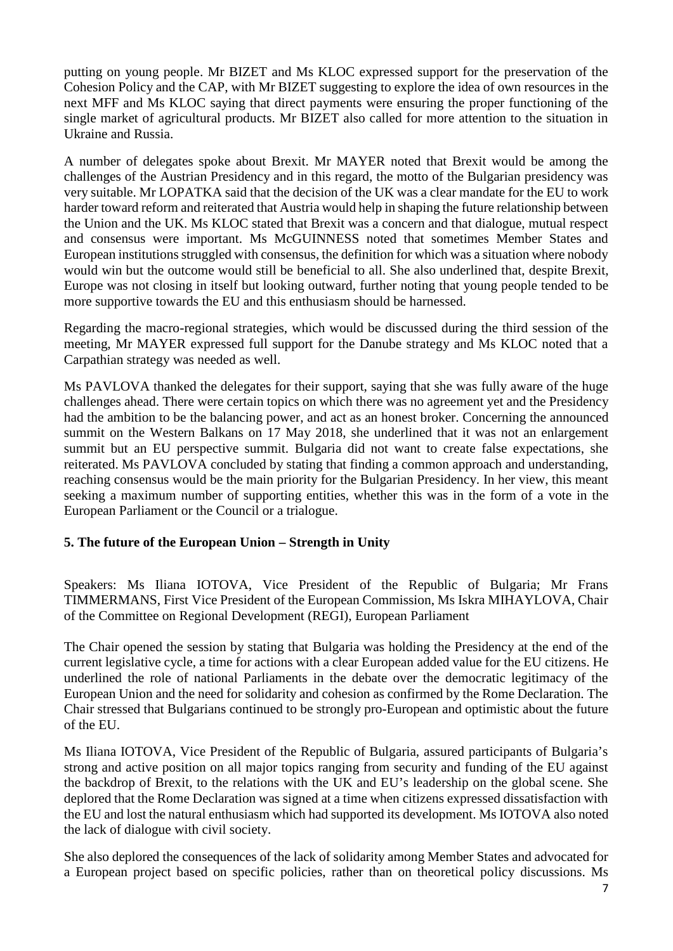putting on young people. Mr BIZET and Ms KLOC expressed support for the preservation of the Cohesion Policy and the CAP, with Mr BIZET suggesting to explore the idea of own resources in the next MFF and Ms KLOC saying that direct payments were ensuring the proper functioning of the single market of agricultural products. Mr BIZET also called for more attention to the situation in Ukraine and Russia.

A number of delegates spoke about Brexit. Mr MAYER noted that Brexit would be among the challenges of the Austrian Presidency and in this regard, the motto of the Bulgarian presidency was very suitable. Mr LOPATKA said that the decision of the UK was a clear mandate for the EU to work harder toward reform and reiterated that Austria would help in shaping the future relationship between the Union and the UK. Ms KLOC stated that Brexit was a concern and that dialogue, mutual respect and consensus were important. Ms McGUINNESS noted that sometimes Member States and European institutions struggled with consensus, the definition for which was a situation where nobody would win but the outcome would still be beneficial to all. She also underlined that, despite Brexit, Europe was not closing in itself but looking outward, further noting that young people tended to be more supportive towards the EU and this enthusiasm should be harnessed.

Regarding the macro-regional strategies, which would be discussed during the third session of the meeting, Mr MAYER expressed full support for the Danube strategy and Ms KLOC noted that a Carpathian strategy was needed as well.

Ms PAVLOVA thanked the delegates for their support, saying that she was fully aware of the huge challenges ahead. There were certain topics on which there was no agreement yet and the Presidency had the ambition to be the balancing power, and act as an honest broker. Concerning the announced summit on the Western Balkans on 17 May 2018, she underlined that it was not an enlargement summit but an EU perspective summit. Bulgaria did not want to create false expectations, she reiterated. Ms PAVLOVA concluded by stating that finding a common approach and understanding, reaching consensus would be the main priority for the Bulgarian Presidency. In her view, this meant seeking a maximum number of supporting entities, whether this was in the form of a vote in the European Parliament or the Council or a trialogue.

## **5. The future of the European Union – Strength in Unity**

Speakers: Ms Iliana IOTOVA, Vice President of the Republic of Bulgaria; Mr Frans TIMMERMANS, First Vice President of the European Commission, Ms Iskra MIHAYLOVA, Chair of the Committee on Regional Development (REGI), European Parliament

The Chair opened the session by stating that Bulgaria was holding the Presidency at the end of the current legislative cycle, a time for actions with a clear European added value for the EU citizens. He underlined the role of national Parliaments in the debate over the democratic legitimacy of the European Union and the need for solidarity and cohesion as confirmed by the Rome Declaration. The Chair stressed that Bulgarians continued to be strongly pro-European and optimistic about the future of the EU.

Ms Iliana IOTOVA, Vice President of the Republic of Bulgaria, assured participants of Bulgaria's strong and active position on all major topics ranging from security and funding of the EU against the backdrop of Brexit, to the relations with the UK and EU's leadership on the global scene. She deplored that the Rome Declaration was signed at a time when citizens expressed dissatisfaction with the EU and lost the natural enthusiasm which had supported its development. Ms IOTOVA also noted the lack of dialogue with civil society.

She also deplored the consequences of the lack of solidarity among Member States and advocated for a European project based on specific policies, rather than on theoretical policy discussions. Ms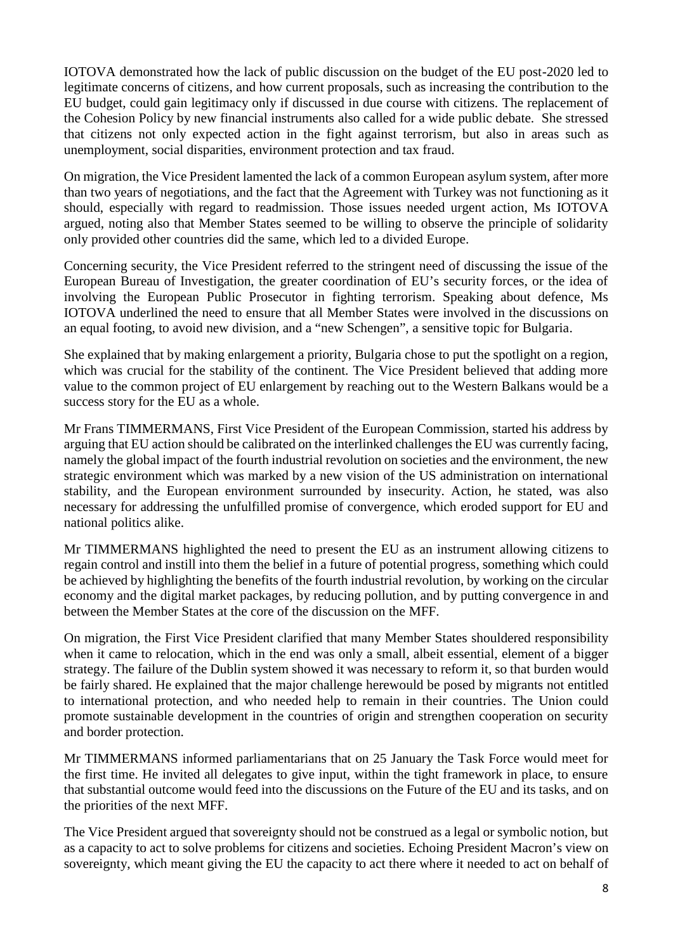IOTOVA demonstrated how the lack of public discussion on the budget of the EU post-2020 led to legitimate concerns of citizens, and how current proposals, such as increasing the contribution to the EU budget, could gain legitimacy only if discussed in due course with citizens. The replacement of the Cohesion Policy by new financial instruments also called for a wide public debate. She stressed that citizens not only expected action in the fight against terrorism, but also in areas such as unemployment, social disparities, environment protection and tax fraud.

On migration, the Vice President lamented the lack of a common European asylum system, after more than two years of negotiations, and the fact that the Agreement with Turkey was not functioning as it should, especially with regard to readmission. Those issues needed urgent action, Ms IOTOVA argued, noting also that Member States seemed to be willing to observe the principle of solidarity only provided other countries did the same, which led to a divided Europe.

Concerning security, the Vice President referred to the stringent need of discussing the issue of the European Bureau of Investigation, the greater coordination of EU's security forces, or the idea of involving the European Public Prosecutor in fighting terrorism. Speaking about defence, Ms IOTOVA underlined the need to ensure that all Member States were involved in the discussions on an equal footing, to avoid new division, and a "new Schengen", a sensitive topic for Bulgaria.

She explained that by making enlargement a priority, Bulgaria chose to put the spotlight on a region, which was crucial for the stability of the continent. The Vice President believed that adding more value to the common project of EU enlargement by reaching out to the Western Balkans would be a success story for the EU as a whole.

Mr Frans TIMMERMANS, First Vice President of the European Commission, started his address by arguing that EU action should be calibrated on the interlinked challenges the EU was currently facing, namely the global impact of the fourth industrial revolution on societies and the environment, the new strategic environment which was marked by a new vision of the US administration on international stability, and the European environment surrounded by insecurity. Action, he stated, was also necessary for addressing the unfulfilled promise of convergence, which eroded support for EU and national politics alike.

Mr TIMMERMANS highlighted the need to present the EU as an instrument allowing citizens to regain control and instill into them the belief in a future of potential progress, something which could be achieved by highlighting the benefits of the fourth industrial revolution, by working on the circular economy and the digital market packages, by reducing pollution, and by putting convergence in and between the Member States at the core of the discussion on the MFF.

On migration, the First Vice President clarified that many Member States shouldered responsibility when it came to relocation, which in the end was only a small, albeit essential, element of a bigger strategy. The failure of the Dublin system showed it was necessary to reform it, so that burden would be fairly shared. He explained that the major challenge herewould be posed by migrants not entitled to international protection, and who needed help to remain in their countries. The Union could promote sustainable development in the countries of origin and strengthen cooperation on security and border protection.

Mr TIMMERMANS informed parliamentarians that on 25 January the Task Force would meet for the first time. He invited all delegates to give input, within the tight framework in place, to ensure that substantial outcome would feed into the discussions on the Future of the EU and its tasks, and on the priorities of the next MFF.

The Vice President argued that sovereignty should not be construed as a legal or symbolic notion, but as a capacity to act to solve problems for citizens and societies. Echoing President Macron's view on sovereignty, which meant giving the EU the capacity to act there where it needed to act on behalf of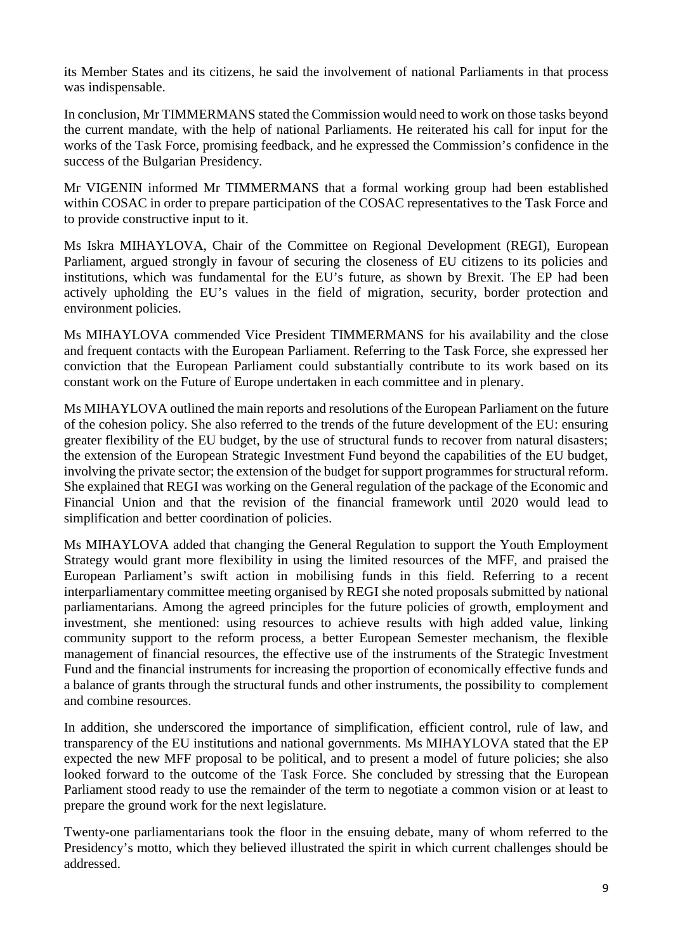its Member States and its citizens, he said the involvement of national Parliaments in that process was indispensable.

In conclusion, Mr TIMMERMANS stated the Commission would need to work on those tasks beyond the current mandate, with the help of national Parliaments. He reiterated his call for input for the works of the Task Force, promising feedback, and he expressed the Commission's confidence in the success of the Bulgarian Presidency.

Mr VIGENIN informed Mr TIMMERMANS that a formal working group had been established within COSAC in order to prepare participation of the COSAC representatives to the Task Force and to provide constructive input to it.

Ms Iskra MIHAYLOVA, Chair of the Committee on Regional Development (REGI), European Parliament, argued strongly in favour of securing the closeness of EU citizens to its policies and institutions, which was fundamental for the EU's future, as shown by Brexit. The EP had been actively upholding the EU's values in the field of migration, security, border protection and environment policies.

Ms MIHAYLOVA commended Vice President TIMMERMANS for his availability and the close and frequent contacts with the European Parliament. Referring to the Task Force, she expressed her conviction that the European Parliament could substantially contribute to its work based on its constant work on the Future of Europe undertaken in each committee and in plenary.

Ms MIHAYLOVA outlined the main reports and resolutions of the European Parliament on the future of the cohesion policy. She also referred to the trends of the future development of the EU: ensuring greater flexibility of the EU budget, by the use of structural funds to recover from natural disasters; the extension of the European Strategic Investment Fund beyond the capabilities of the EU budget, involving the private sector; the extension of the budget for support programmes for structural reform. She explained that REGI was working on the General regulation of the package of the Economic and Financial Union and that the revision of the financial framework until 2020 would lead to simplification and better coordination of policies.

Ms MIHAYLOVA added that changing the General Regulation to support the Youth Employment Strategy would grant more flexibility in using the limited resources of the MFF, and praised the European Parliament's swift action in mobilising funds in this field. Referring to a recent interparliamentary committee meeting organised by REGI she noted proposals submitted by national parliamentarians. Among the agreed principles for the future policies of growth, employment and investment, she mentioned: using resources to achieve results with high added value, linking community support to the reform process, a better European Semester mechanism, the flexible management of financial resources, the effective use of the instruments of the Strategic Investment Fund and the financial instruments for increasing the proportion of economically effective funds and a balance of grants through the structural funds and other instruments, the possibility to complement and combine resources.

In addition, she underscored the importance of simplification, efficient control, rule of law, and transparency of the EU institutions and national governments. Ms MIHAYLOVA stated that the EP expected the new MFF proposal to be political, and to present a model of future policies; she also looked forward to the outcome of the Task Force. She concluded by stressing that the European Parliament stood ready to use the remainder of the term to negotiate a common vision or at least to prepare the ground work for the next legislature.

Twenty-one parliamentarians took the floor in the ensuing debate, many of whom referred to the Presidency's motto, which they believed illustrated the spirit in which current challenges should be addressed.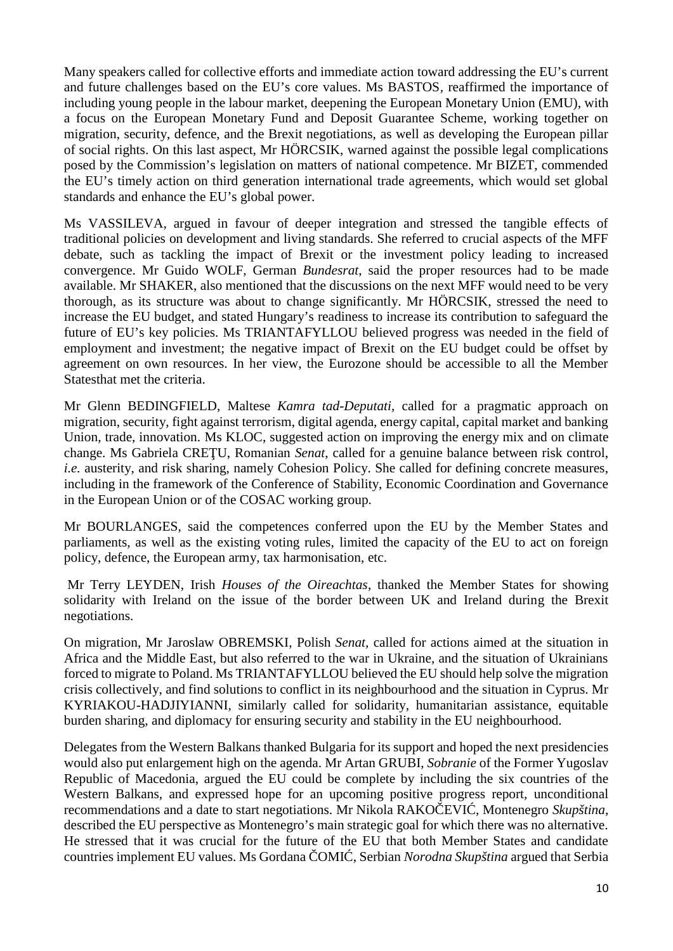Many speakers called for collective efforts and immediate action toward addressing the EU's current and future challenges based on the EU's core values. Ms BASTOS*,* reaffirmed the importance of including young people in the labour market, deepening the European Monetary Union (EMU), with a focus on the European Monetary Fund and Deposit Guarantee Scheme, working together on migration, security, defence, and the Brexit negotiations, as well as developing the European pillar of social rights. On this last aspect, Mr HÖRCSIK, warned against the possible legal complications posed by the Commission's legislation on matters of national competence. Mr BIZET, commended the EU's timely action on third generation international trade agreements, which would set global standards and enhance the EU's global power.

Ms VASSILEVA, argued in favour of deeper integration and stressed the tangible effects of traditional policies on development and living standards. She referred to crucial aspects of the MFF debate, such as tackling the impact of Brexit or the investment policy leading to increased convergence. Mr Guido WOLF, German *Bundesrat*, said the proper resources had to be made available. Mr SHAKER, also mentioned that the discussions on the next MFF would need to be very thorough, as its structure was about to change significantly. Mr HÖRCSIK, stressed the need to increase the EU budget, and stated Hungary's readiness to increase its contribution to safeguard the future of EU's key policies. Ms TRIANTAFYLLOU believed progress was needed in the field of employment and investment; the negative impact of Brexit on the EU budget could be offset by agreement on own resources. In her view, the Eurozone should be accessible to all the Member Statesthat met the criteria.

Mr Glenn BEDINGFIELD, Maltese *Kamra tad-Deputati*, called for a pragmatic approach on migration, security, fight against terrorism, digital agenda, energy capital, capital market and banking Union, trade, innovation. Ms KLOC, suggested action on improving the energy mix and on climate change. Ms Gabriela CRE U, Romanian *Senat*, called for a genuine balance between risk control, *i.e.* austerity, and risk sharing, namely Cohesion Policy. She called for defining concrete measures, including in the framework of the Conference of Stability, Economic Coordination and Governance in the European Union or of the COSAC working group.

Mr BOURLANGES, said the competences conferred upon the EU by the Member States and parliaments, as well as the existing voting rules, limited the capacity of the EU to act on foreign policy, defence, the European army, tax harmonisation, etc.

Mr Terry LEYDEN, Irish *Houses of the Oireachtas*, thanked the Member States for showing solidarity with Ireland on the issue of the border between UK and Ireland during the Brexit negotiations.

On migration, Mr Jaroslaw OBREMSKI, Polish *Senat,* called for actions aimed at the situation in Africa and the Middle East, but also referred to the war in Ukraine, and the situation of Ukrainians forced to migrate to Poland. Ms TRIANTAFYLLOU believed the EU should help solve the migration crisis collectively, and find solutions to conflict in its neighbourhood and the situation in Cyprus. Mr KYRIAKOU-HADJIYIANNI*,* similarly called for solidarity, humanitarian assistance, equitable burden sharing, and diplomacy for ensuring security and stability in the EU neighbourhood.

Delegates from the Western Balkans thanked Bulgaria for its support and hoped the next presidencies would also put enlargement high on the agenda. Mr Artan GRUBI, *Sobranie* of the Former Yugoslav Republic of Macedonia, argued the EU could be complete by including the six countries of the Western Balkans, and expressed hope for an upcoming positive progress report, unconditional recommendations and a date to start negotiations. Mr Nikola RAKO EVI, Montenegro *Skupština*, described the EU perspective as Montenegro's main strategic goal for which there was no alternative. He stressed that it was crucial for the future of the EU that both Member States and candidate countries implement EU values. Ms Gordana COMI , Serbian *Norodna Skupština* argued that Serbia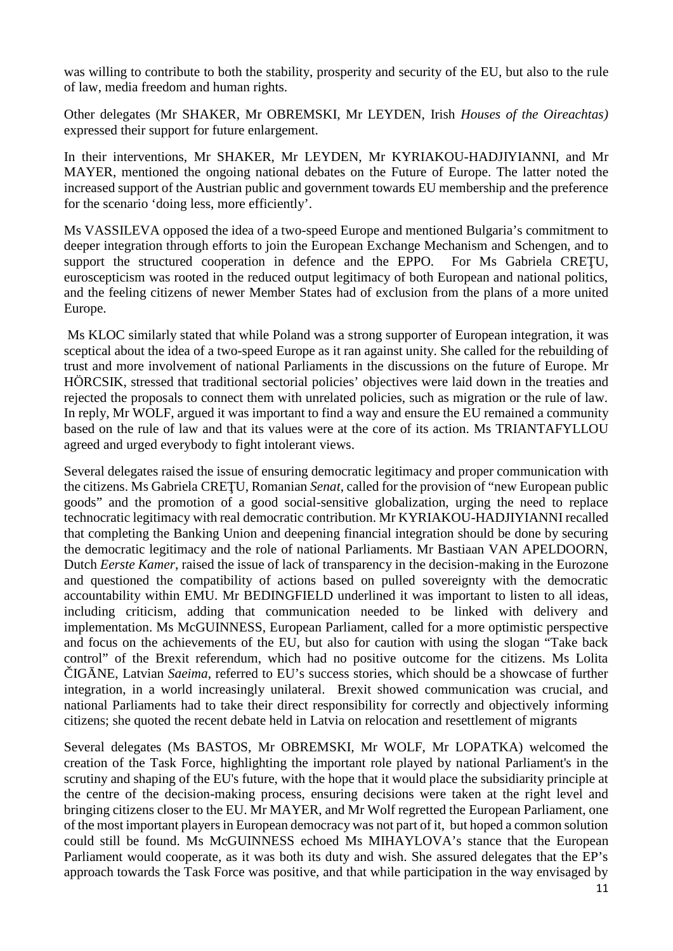was willing to contribute to both the stability, prosperity and security of the EU, but also to the rule of law, media freedom and human rights.

Other delegates (Mr SHAKER, Mr OBREMSKI, Mr LEYDEN, Irish *Houses of the Oireachtas)* expressed their support for future enlargement.

In their interventions, Mr SHAKER, Mr LEYDEN, Mr KYRIAKOU-HADJIYIANNI, and Mr MAYER, mentioned the ongoing national debates on the Future of Europe. The latter noted the increased support of the Austrian public and government towards EU membership and the preference for the scenario 'doing less, more efficiently'.

Ms VASSILEVA opposed the idea of a two-speed Europe and mentioned Bulgaria's commitment to deeper integration through efforts to join the European Exchange Mechanism and Schengen, and to support the structured cooperation in defence and the EPPO. For Ms Gabriela CRE U, euroscepticism was rooted in the reduced output legitimacy of both European and national politics, and the feeling citizens of newer Member States had of exclusion from the plans of a more united Europe.

Ms KLOC similarly stated that while Poland was a strong supporter of European integration, it was sceptical about the idea of a two-speed Europe as it ran against unity. She called for the rebuilding of trust and more involvement of national Parliaments in the discussions on the future of Europe. Mr HÖRCSIK, stressed that traditional sectorial policies' objectives were laid down in the treaties and rejected the proposals to connect them with unrelated policies, such as migration or the rule of law. In reply, Mr WOLF, argued it was important to find a way and ensure the EU remained a community based on the rule of law and that its values were at the core of its action. Ms TRIANTAFYLLOU agreed and urged everybody to fight intolerant views.

Several delegates raised the issue of ensuring democratic legitimacy and proper communication with the citizens. Ms Gabriela CRE U, Romanian *Senat*, called for the provision of "new European public goods" and the promotion of a good social-sensitive globalization, urging the need to replace technocratic legitimacy with real democratic contribution. Mr KYRIAKOU-HADJIYIANNI recalled that completing the Banking Union and deepening financial integration should be done by securing the democratic legitimacy and the role of national Parliaments. Mr Bastiaan VAN APELDOORN, Dutch *Eerste Kamer*, raised the issue of lack of transparency in the decision-making in the Eurozone and questioned the compatibility of actions based on pulled sovereignty with the democratic accountability within EMU. Mr BEDINGFIELD underlined it was important to listen to all ideas, including criticism, adding that communication needed to be linked with delivery and implementation. Ms McGUINNESS, European Parliament, called for a more optimistic perspective and focus on the achievements of the EU, but also for caution with using the slogan "Take back control" of the Brexit referendum, which had no positive outcome for the citizens. Ms Lolita IG NE, Latvian *Saeima*, referred to EU's success stories, which should be a showcase of further integration, in a world increasingly unilateral. Brexit showed communication was crucial, and national Parliaments had to take their direct responsibility for correctly and objectively informing

Several delegates (Ms BASTOS, Mr OBREMSKI, Mr WOLF, Mr LOPATKA) welcomed the creation of the Task Force, highlighting the important role played by national Parliament's in the scrutiny and shaping of the EU's future, with the hope that it would place the subsidiarity principle at the centre of the decision-making process, ensuring decisions were taken at the right level and bringing citizens closer to the EU. Mr MAYER, and Mr Wolf regretted the European Parliament, one of the most important players in European democracy was not part of it, but hoped a common solution could still be found. Ms McGUINNESS echoed Ms MIHAYLOVA's stance that the European Parliament would cooperate, as it was both its duty and wish. She assured delegates that the EP's approach towards the Task Force was positive, and that while participation in the way envisaged by

citizens; she quoted the recent debate held in Latvia on relocation and resettlement of migrants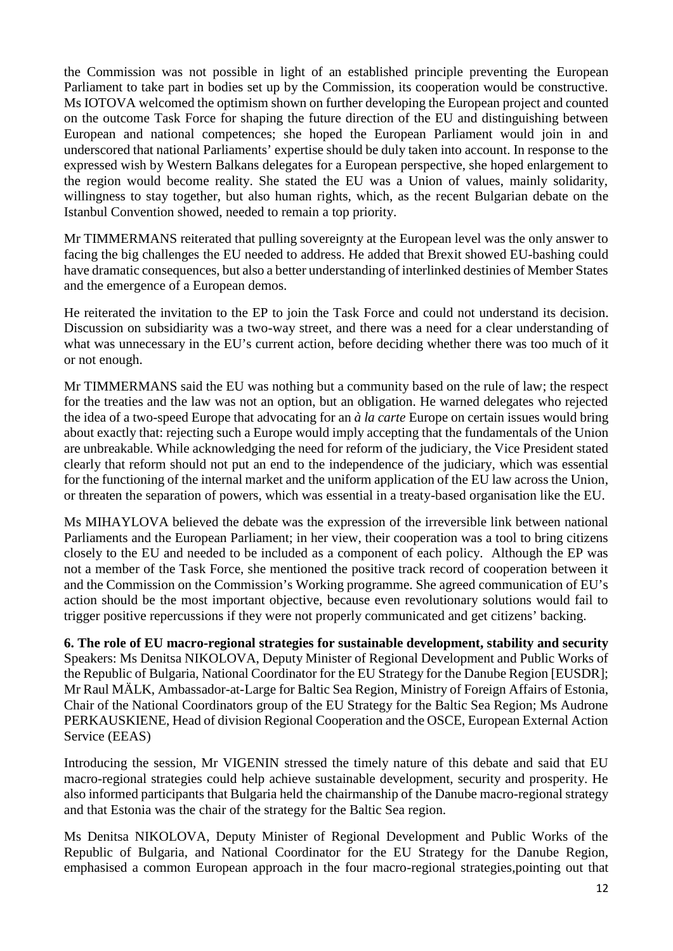the Commission was not possible in light of an established principle preventing the European Parliament to take part in bodies set up by the Commission, its cooperation would be constructive. Ms IOTOVA welcomed the optimism shown on further developing the European project and counted on the outcome Task Force for shaping the future direction of the EU and distinguishing between European and national competences; she hoped the European Parliament would join in and underscored that national Parliaments' expertise should be duly taken into account. In response to the expressed wish by Western Balkans delegates for a European perspective, she hoped enlargement to the region would become reality. She stated the EU was a Union of values, mainly solidarity, willingness to stay together, but also human rights, which, as the recent Bulgarian debate on the Istanbul Convention showed, needed to remain a top priority.

Mr TIMMERMANS reiterated that pulling sovereignty at the European level was the only answer to facing the big challenges the EU needed to address. He added that Brexit showed EU-bashing could have dramatic consequences, but also a better understanding of interlinked destinies of Member States and the emergence of a European demos.

He reiterated the invitation to the EP to join the Task Force and could not understand its decision. Discussion on subsidiarity was a two-way street, and there was a need for a clear understanding of what was unnecessary in the EU's current action, before deciding whether there was too much of it or not enough.

Mr TIMMERMANS said the EU was nothing but a community based on the rule of law; the respect for the treaties and the law was not an option, but an obligation. He warned delegates who rejected the idea of a two-speed Europe that advocating for an *à la carte* Europe on certain issues would bring about exactly that: rejecting such a Europe would imply accepting that the fundamentals of the Union are unbreakable. While acknowledging the need for reform of the judiciary, the Vice President stated clearly that reform should not put an end to the independence of the judiciary, which was essential for the functioning of the internal market and the uniform application of the EU law across the Union, or threaten the separation of powers, which was essential in a treaty-based organisation like the EU.

Ms MIHAYLOVA believed the debate was the expression of the irreversible link between national Parliaments and the European Parliament; in her view, their cooperation was a tool to bring citizens closely to the EU and needed to be included as a component of each policy. Although the EP was not a member of the Task Force, she mentioned the positive track record of cooperation between it and the Commission on the Commission's Working programme. She agreed communication of EU's action should be the most important objective, because even revolutionary solutions would fail to trigger positive repercussions if they were not properly communicated and get citizens' backing.

**6. The role of EU macro-regional strategies for sustainable development, stability and security** Speakers: Ms Denitsa NIKOLOVA, Deputy Minister of Regional Development and Public Works of the Republic of Bulgaria, National Coordinator for the EU Strategy for the Danube Region [EUSDR]; Mr Raul MÄLK, Ambassador-at-Large for Baltic Sea Region, Ministry of Foreign Affairs of Estonia, Chair of the National Coordinators group of the EU Strategy for the Baltic Sea Region; Ms Audrone PERKAUSKIENE, Head of division Regional Cooperation and the OSCE, European External Action Service (EEAS)

Introducing the session, Mr VIGENIN stressed the timely nature of this debate and said that EU macro-regional strategies could help achieve sustainable development, security and prosperity. He also informed participants that Bulgaria held the chairmanship of the Danube macro-regional strategy and that Estonia was the chair of the strategy for the Baltic Sea region.

Ms Denitsa NIKOLOVA, Deputy Minister of Regional Development and Public Works of the Republic of Bulgaria, and National Coordinator for the EU Strategy for the Danube Region, emphasised a common European approach in the four macro-regional strategies,pointing out that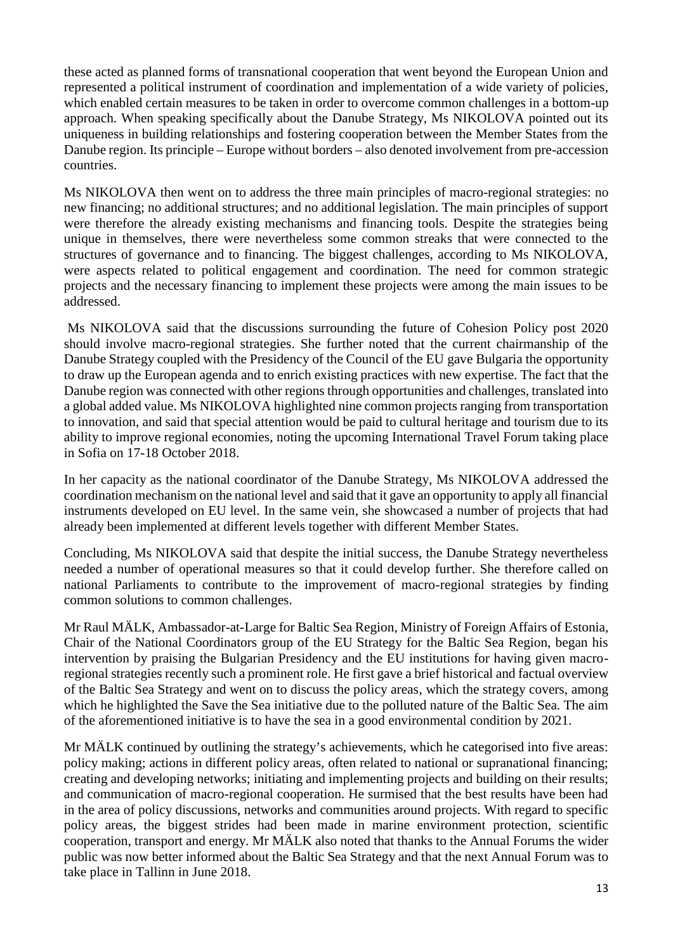these acted as planned forms of transnational cooperation that went beyond the European Union and represented a political instrument of coordination and implementation of a wide variety of policies, which enabled certain measures to be taken in order to overcome common challenges in a bottom-up approach. When speaking specifically about the Danube Strategy, Ms NIKOLOVA pointed out its uniqueness in building relationships and fostering cooperation between the Member States from the Danube region. Its principle – Europe without borders – also denoted involvement from pre-accession countries.

Ms NIKOLOVA then went on to address the three main principles of macro-regional strategies: no new financing; no additional structures; and no additional legislation. The main principles of support were therefore the already existing mechanisms and financing tools. Despite the strategies being unique in themselves, there were nevertheless some common streaks that were connected to the structures of governance and to financing. The biggest challenges, according to Ms NIKOLOVA, were aspects related to political engagement and coordination. The need for common strategic projects and the necessary financing to implement these projects were among the main issues to be addressed.

Ms NIKOLOVA said that the discussions surrounding the future of Cohesion Policy post 2020 should involve macro-regional strategies. She further noted that the current chairmanship of the Danube Strategy coupled with the Presidency of the Council of the EU gave Bulgaria the opportunity to draw up the European agenda and to enrich existing practices with new expertise. The fact that the Danube region was connected with other regions through opportunities and challenges, translated into a global added value. Ms NIKOLOVA highlighted nine common projects ranging from transportation to innovation, and said that special attention would be paid to cultural heritage and tourism due to its ability to improve regional economies, noting the upcoming International Travel Forum taking place in Sofia on 17-18 October 2018.

In her capacity as the national coordinator of the Danube Strategy, Ms NIKOLOVA addressed the coordination mechanism on the national level and said that it gave an opportunity to apply all financial instruments developed on EU level. In the same vein, she showcased a number of projects that had already been implemented at different levels together with different Member States.

Concluding, Ms NIKOLOVA said that despite the initial success, the Danube Strategy nevertheless needed a number of operational measures so that it could develop further. She therefore called on national Parliaments to contribute to the improvement of macro-regional strategies by finding common solutions to common challenges.

Mr Raul MÄLK, Ambassador-at-Large for Baltic Sea Region, Ministry of Foreign Affairs of Estonia, Chair of the National Coordinators group of the EU Strategy for the Baltic Sea Region, began his intervention by praising the Bulgarian Presidency and the EU institutions for having given macroregional strategies recently such a prominent role. He first gave a brief historical and factual overview of the Baltic Sea Strategy and went on to discuss the policy areas, which the strategy covers, among which he highlighted the Save the Sea initiative due to the polluted nature of the Baltic Sea. The aim of the aforementioned initiative is to have the sea in a good environmental condition by 2021.

Mr MÄLK continued by outlining the strategy's achievements, which he categorised into five areas: policy making; actions in different policy areas, often related to national or supranational financing; creating and developing networks; initiating and implementing projects and building on their results; and communication of macro-regional cooperation. He surmised that the best results have been had in the area of policy discussions, networks and communities around projects. With regard to specific policy areas, the biggest strides had been made in marine environment protection, scientific cooperation, transport and energy. Mr MÄLK also noted that thanks to the Annual Forums the wider public was now better informed about the Baltic Sea Strategy and that the next Annual Forum was to take place in Tallinn in June 2018.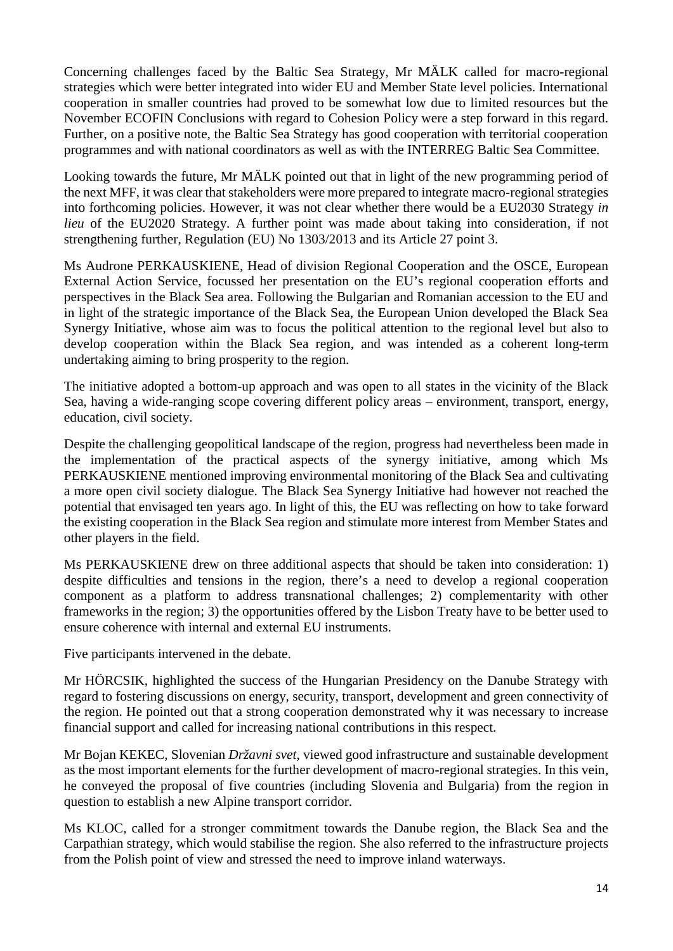Concerning challenges faced by the Baltic Sea Strategy, Mr MÄLK called for macro-regional strategies which were better integrated into wider EU and Member State level policies. International cooperation in smaller countries had proved to be somewhat low due to limited resources but the November ECOFIN Conclusions with regard to Cohesion Policy were a step forward in this regard. Further, on a positive note, the Baltic Sea Strategy has good cooperation with territorial cooperation programmes and with national coordinators as well as with the INTERREG Baltic Sea Committee.

Looking towards the future, Mr MÄLK pointed out that in light of the new programming period of the next MFF, it was clear that stakeholders were more prepared to integrate macro-regional strategies into forthcoming policies. However, it was not clear whether there would be a EU2030 Strategy *in lieu* of the EU2020 Strategy. A further point was made about taking into consideration, if not strengthening further, Regulation (EU) No 1303/2013 and its Article 27 point 3.

Ms Audrone PERKAUSKIENE, Head of division Regional Cooperation and the OSCE, European External Action Service, focussed her presentation on the EU's regional cooperation efforts and perspectives in the Black Sea area. Following the Bulgarian and Romanian accession to the EU and in light of the strategic importance of the Black Sea, the European Union developed the Black Sea Synergy Initiative, whose aim was to focus the political attention to the regional level but also to develop cooperation within the Black Sea region, and was intended as a coherent long-term undertaking aiming to bring prosperity to the region.

The initiative adopted a bottom-up approach and was open to all states in the vicinity of the Black Sea, having a wide-ranging scope covering different policy areas – environment, transport, energy, education, civil society.

Despite the challenging geopolitical landscape of the region, progress had nevertheless been made in the implementation of the practical aspects of the synergy initiative, among which Ms PERKAUSKIENE mentioned improving environmental monitoring of the Black Sea and cultivating a more open civil society dialogue. The Black Sea Synergy Initiative had however not reached the potential that envisaged ten years ago. In light of this, the EU was reflecting on how to take forward the existing cooperation in the Black Sea region and stimulate more interest from Member States and other players in the field.

Ms PERKAUSKIENE drew on three additional aspects that should be taken into consideration: 1) despite difficulties and tensions in the region, there's a need to develop a regional cooperation component as a platform to address transnational challenges; 2) complementarity with other frameworks in the region; 3) the opportunities offered by the Lisbon Treaty have to be better used to ensure coherence with internal and external EU instruments.

Five participants intervened in the debate.

Mr HÖRCSIK*,* highlighted the success of the Hungarian Presidency on the Danube Strategy with regard to fostering discussions on energy, security, transport, development and green connectivity of the region. He pointed out that a strong cooperation demonstrated why it was necessary to increase financial support and called for increasing national contributions in this respect.

Mr Bojan KEKEC, Slovenian *Državni svet*, viewed good infrastructure and sustainable development as the most important elements for the further development of macro-regional strategies. In this vein, he conveyed the proposal of five countries (including Slovenia and Bulgaria) from the region in question to establish a new Alpine transport corridor.

Ms KLOC*,* called for a stronger commitment towards the Danube region, the Black Sea and the Carpathian strategy, which would stabilise the region. She also referred to the infrastructure projects from the Polish point of view and stressed the need to improve inland waterways.